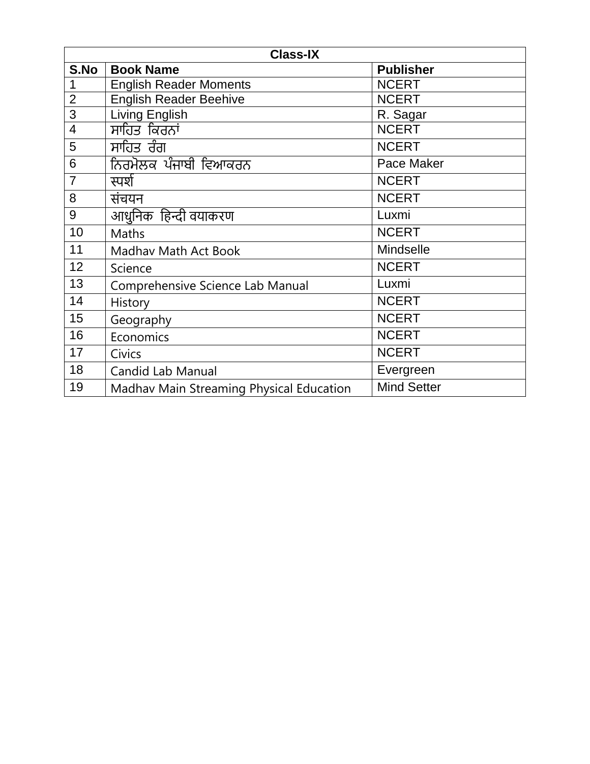| <b>Class-IX</b> |                                          |                    |
|-----------------|------------------------------------------|--------------------|
| S.No            | <b>Book Name</b>                         | <b>Publisher</b>   |
| 1               | <b>English Reader Moments</b>            | <b>NCERT</b>       |
| $\overline{2}$  | <b>English Reader Beehive</b>            | <b>NCERT</b>       |
| $\overline{3}$  | Living English                           | R. Sagar           |
| $\overline{4}$  | ਸਾਹਿਤ ਕਿਰਨਾਂ                             | <b>NCERT</b>       |
| 5               | ਸਾਹਿਤ ਰੰਗ                                | <b>NCERT</b>       |
| 6               | ਨਿਰਮੋਲਕ ਪੰਜਾਬੀ ਵਿਆਕਰਨ                    | Pace Maker         |
| $\overline{7}$  | स्पर्श                                   | <b>NCERT</b>       |
| 8               | संचयन                                    | <b>NCERT</b>       |
| 9               | आधुनिक) हिन्दी वयाकरण                    | Luxmi              |
| 10              | <b>Maths</b>                             | <b>NCERT</b>       |
| 11              | Madhav Math Act Book                     | Mindselle          |
| 12              | Science                                  | <b>NCERT</b>       |
| 13              | Comprehensive Science Lab Manual         | Luxmi              |
| 14              | History                                  | <b>NCERT</b>       |
| 15              | Geography                                | <b>NCERT</b>       |
| 16              | Economics                                | <b>NCERT</b>       |
| 17              | Civics                                   | <b>NCERT</b>       |
| 18              | Candid Lab Manual                        | Evergreen          |
| 19              | Madhav Main Streaming Physical Education | <b>Mind Setter</b> |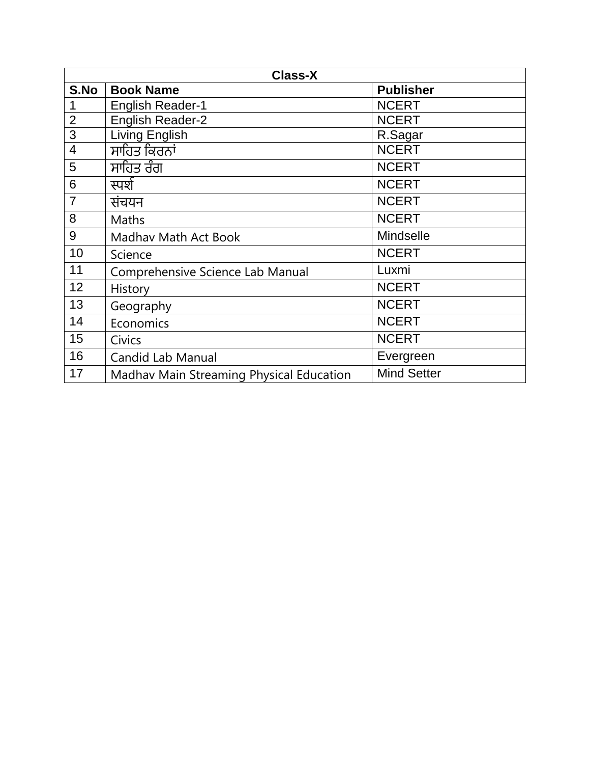| <b>Class-X</b> |                                          |                    |
|----------------|------------------------------------------|--------------------|
| S.No           | <b>Book Name</b>                         | <b>Publisher</b>   |
|                | <b>English Reader-1</b>                  | <b>NCERT</b>       |
| $\overline{2}$ | <b>English Reader-2</b>                  | <b>NCERT</b>       |
| 3              | Living English                           | R.Sagar            |
| 4              | ਸਾਹਿਤ ਕਿਰਨਾਂ                             | <b>NCERT</b>       |
| 5              | ਸਾਹਿਤ ਰੰਗ                                | <b>NCERT</b>       |
| 6              | स्पर्श                                   | <b>NCERT</b>       |
| $\overline{7}$ | संचयन                                    | <b>NCERT</b>       |
| 8              | Maths                                    | <b>NCERT</b>       |
| 9              | Madhav Math Act Book                     | <b>Mindselle</b>   |
| 10             | Science                                  | <b>NCERT</b>       |
| 11             | Comprehensive Science Lab Manual         | Luxmi              |
| 12             | History                                  | <b>NCERT</b>       |
| 13             | Geography                                | <b>NCERT</b>       |
| 14             | Economics                                | <b>NCERT</b>       |
| 15             | <b>Civics</b>                            | <b>NCERT</b>       |
| 16             | <b>Candid Lab Manual</b>                 | Evergreen          |
| 17             | Madhav Main Streaming Physical Education | <b>Mind Setter</b> |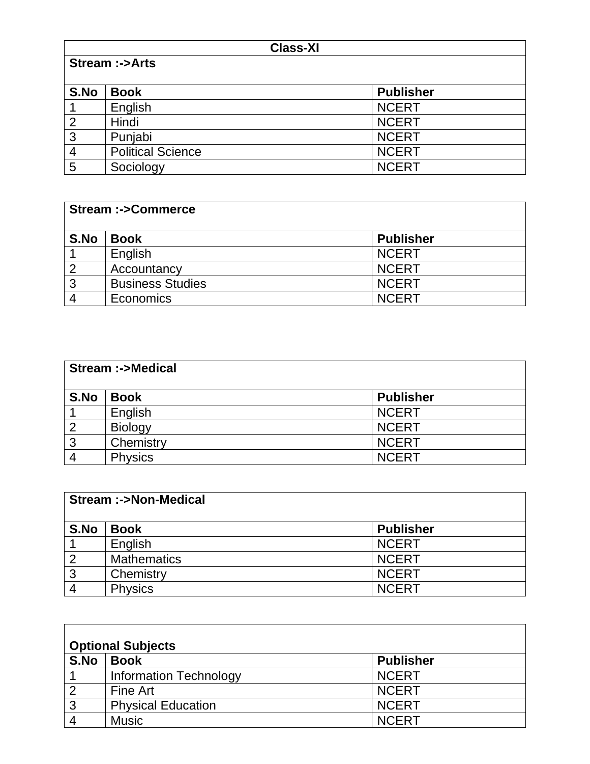| <b>Class-XI</b> |                          |                  |  |
|-----------------|--------------------------|------------------|--|
|                 | <b>Stream :-&gt;Arts</b> |                  |  |
|                 |                          |                  |  |
| S.No            | <b>Book</b>              | <b>Publisher</b> |  |
|                 | English                  | <b>NCERT</b>     |  |
| $\overline{2}$  | Hindi                    | <b>NCERT</b>     |  |
| 3               | Punjabi                  | <b>NCERT</b>     |  |
| $\overline{4}$  | <b>Political Science</b> | <b>NCERT</b>     |  |
| 5               | Sociology                | <b>NCERT</b>     |  |

| <b>Stream:-&gt;Commerce</b> |                         |                  |
|-----------------------------|-------------------------|------------------|
| S.No                        | <b>Book</b>             | <b>Publisher</b> |
|                             | English                 | <b>NCERT</b>     |
| $\overline{2}$              | Accountancy             | <b>NCERT</b>     |
| 3                           | <b>Business Studies</b> | <b>NCERT</b>     |
|                             | <b>Economics</b>        | <b>NCERT</b>     |

| <b>Stream :-&gt;Medical</b> |                |                  |
|-----------------------------|----------------|------------------|
| S.No                        | <b>Book</b>    | <b>Publisher</b> |
|                             | English        | <b>NCERT</b>     |
| $\overline{2}$              | <b>Biology</b> | <b>NCERT</b>     |
| $\mathbf{3}$                | Chemistry      | <b>NCERT</b>     |
|                             | <b>Physics</b> | <b>NCERT</b>     |

| <b>Stream :-&gt;Non-Medical</b> |                    |                  |
|---------------------------------|--------------------|------------------|
| S.No                            | <b>Book</b>        | <b>Publisher</b> |
|                                 | English            | <b>NCERT</b>     |
| $\overline{2}$                  | <b>Mathematics</b> | <b>NCERT</b>     |
| $\overline{3}$                  | Chemistry          | <b>NCERT</b>     |
| $\overline{4}$                  | <b>Physics</b>     | <b>NCERT</b>     |

| <b>Optional Subjects</b> |                               |                  |
|--------------------------|-------------------------------|------------------|
| S.No                     | <b>Book</b>                   | <b>Publisher</b> |
|                          | <b>Information Technology</b> | <b>NCERT</b>     |
| っ                        | Fine Art                      | <b>NCERT</b>     |
| 3                        | <b>Physical Education</b>     | <b>NCERT</b>     |
|                          | <b>Music</b>                  | <b>NCERT</b>     |